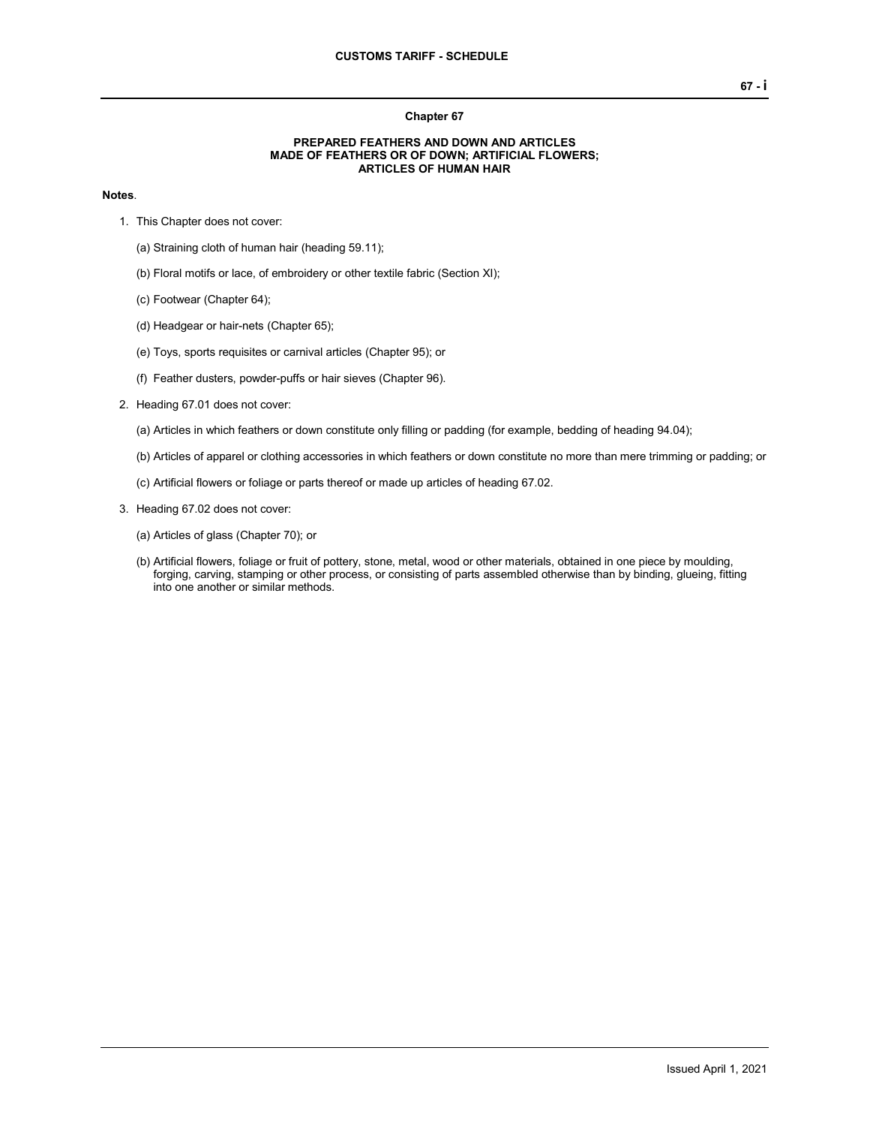## **Chapter 67**

## **PREPARED FEATHERS AND DOWN AND ARTICLES MADE OF FEATHERS OR OF DOWN; ARTIFICIAL FLOWERS; ARTICLES OF HUMAN HAIR**

## **Notes**.

- 1. This Chapter does not cover:
	- (a) Straining cloth of human hair (heading 59.11);
	- (b) Floral motifs or lace, of embroidery or other textile fabric (Section XI);
	- (c) Footwear (Chapter 64);
	- (d) Headgear or hair-nets (Chapter 65);
	- (e) Toys, sports requisites or carnival articles (Chapter 95); or
	- (f) Feather dusters, powder-puffs or hair sieves (Chapter 96).
- 2. Heading 67.01 does not cover:
	- (a) Articles in which feathers or down constitute only filling or padding (for example, bedding of heading 94.04);
	- (b) Articles of apparel or clothing accessories in which feathers or down constitute no more than mere trimming or padding; or
	- (c) Artificial flowers or foliage or parts thereof or made up articles of heading 67.02.
- 3. Heading 67.02 does not cover:
	- (a) Articles of glass (Chapter 70); or
	- (b) Artificial flowers, foliage or fruit of pottery, stone, metal, wood or other materials, obtained in one piece by moulding, forging, carving, stamping or other process, or consisting of parts assembled otherwise than by binding, glueing, fitting into one another or similar methods.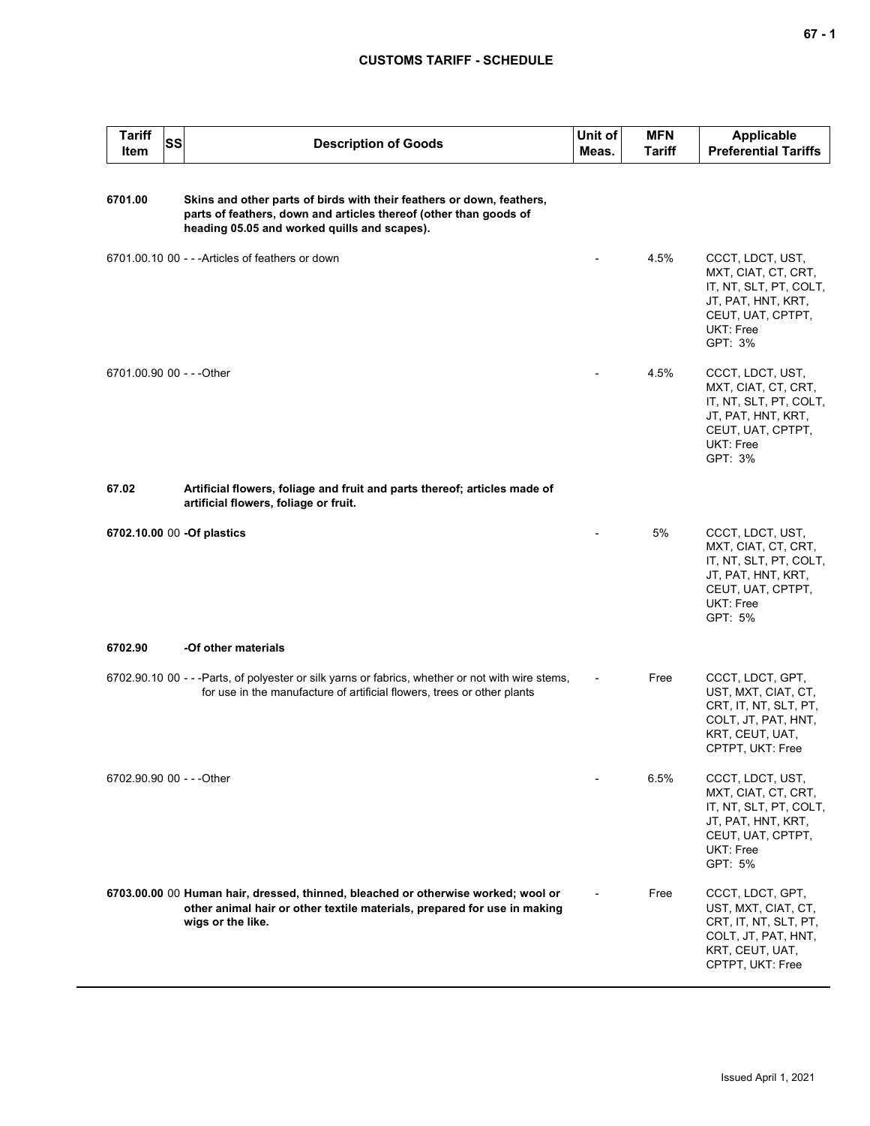## **CUSTOMS TARIFF - SCHEDULE**

| <b>Tariff</b><br>Item     | SS | <b>Description of Goods</b>                                                                                                                                                                | Unit of<br>Meas. | <b>MFN</b><br>Tariff | <b>Applicable</b><br><b>Preferential Tariffs</b>                                                                                     |
|---------------------------|----|--------------------------------------------------------------------------------------------------------------------------------------------------------------------------------------------|------------------|----------------------|--------------------------------------------------------------------------------------------------------------------------------------|
| 6701.00                   |    | Skins and other parts of birds with their feathers or down, feathers,<br>parts of feathers, down and articles thereof (other than goods of<br>heading 05.05 and worked quills and scapes). |                  |                      |                                                                                                                                      |
|                           |    | 6701.00.10 00 - - - Articles of feathers or down                                                                                                                                           |                  | 4.5%                 | CCCT, LDCT, UST,<br>MXT, CIAT, CT, CRT,<br>IT, NT, SLT, PT, COLT,<br>JT, PAT, HNT, KRT,<br>CEUT, UAT, CPTPT,<br>UKT: Free<br>GPT: 3% |
| 6701.00.90 00 - - - Other |    |                                                                                                                                                                                            |                  | 4.5%                 | CCCT, LDCT, UST,<br>MXT, CIAT, CT, CRT,<br>IT, NT, SLT, PT, COLT,<br>JT, PAT, HNT, KRT,<br>CEUT, UAT, CPTPT,<br>UKT: Free<br>GPT: 3% |
| 67.02                     |    | Artificial flowers, foliage and fruit and parts thereof; articles made of<br>artificial flowers, foliage or fruit.                                                                         |                  |                      |                                                                                                                                      |
|                           |    | 6702.10.00 00 -Of plastics                                                                                                                                                                 |                  | 5%                   | CCCT, LDCT, UST,<br>MXT, CIAT, CT, CRT,<br>IT, NT, SLT, PT, COLT,<br>JT, PAT, HNT, KRT,<br>CEUT, UAT, CPTPT,<br>UKT: Free<br>GPT: 5% |
| 6702.90                   |    | -Of other materials                                                                                                                                                                        |                  |                      |                                                                                                                                      |
|                           |    | 6702.90.10 00 - - - Parts, of polyester or silk yarns or fabrics, whether or not with wire stems,<br>for use in the manufacture of artificial flowers, trees or other plants               |                  | Free                 | CCCT, LDCT, GPT,<br>UST, MXT, CIAT, CT,<br>CRT, IT, NT, SLT, PT,<br>COLT, JT, PAT, HNT,<br>KRT, CEUT, UAT,<br>CPTPT, UKT: Free       |
| 6702.90.90 00 - - - Other |    |                                                                                                                                                                                            |                  | 6.5%                 | CCCT, LDCT, UST,<br>MXT, CIAT, CT, CRT,<br>IT, NT, SLT, PT, COLT,<br>JT, PAT, HNT, KRT,<br>CEUT, UAT, CPTPT,<br>UKT: Free<br>GPT: 5% |
|                           |    | 6703.00.00 00 Human hair, dressed, thinned, bleached or otherwise worked; wool or<br>other animal hair or other textile materials, prepared for use in making<br>wigs or the like.         |                  | Free                 | CCCT, LDCT, GPT,<br>UST, MXT, CIAT, CT,<br>CRT, IT, NT, SLT, PT,<br>COLT, JT, PAT, HNT,<br>KRT, CEUT, UAT,<br>CPTPT, UKT: Free       |